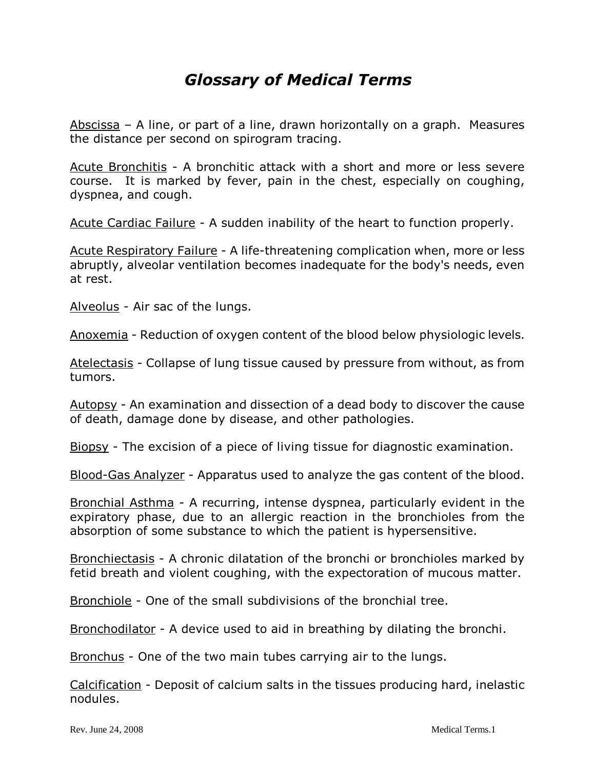## *Glossary of Medical Terms*

Abscissa – A line, or part of a line, drawn horizontally on a graph. Measures the distance per second on spirogram tracing.

Acute Bronchitis - A bronchitic attack with a short and more or less severe course. It is marked by fever, pain in the chest, especially on coughing, dyspnea, and cough.

Acute Cardiac Failure - A sudden inability of the heart to function properly.

Acute Respiratory Failure - A life-threatening complication when, more or less abruptly, alveolar ventilation becomes inadequate for the body's needs, even at rest.

Alveolus - Air sac of the lungs.

Anoxemia - Reduction of oxygen content of the blood below physiologic levels.

Atelectasis - Collapse of lung tissue caused by pressure from without, as from tumors.

Autopsy - An examination and dissection of a dead body to discover the cause of death, damage done by disease, and other pathologies.

Biopsy - The excision of a piece of living tissue for diagnostic examination.

Blood-Gas Analyzer - Apparatus used to analyze the gas content of the blood.

Bronchial Asthma - A recurring, intense dyspnea, particularly evident in the expiratory phase, due to an allergic reaction in the bronchioles from the absorption of some substance to which the patient is hypersensitive.

Bronchiectasis - A chronic dilatation of the bronchi or bronchioles marked by fetid breath and violent coughing, with the expectoration of mucous matter.

Bronchiole - One of the small subdivisions of the bronchial tree.

Bronchodilator - A device used to aid in breathing by dilating the bronchi.

Bronchus - One of the two main tubes carrying air to the lungs.

Calcification - Deposit of calcium salts in the tissues producing hard, inelastic nodules.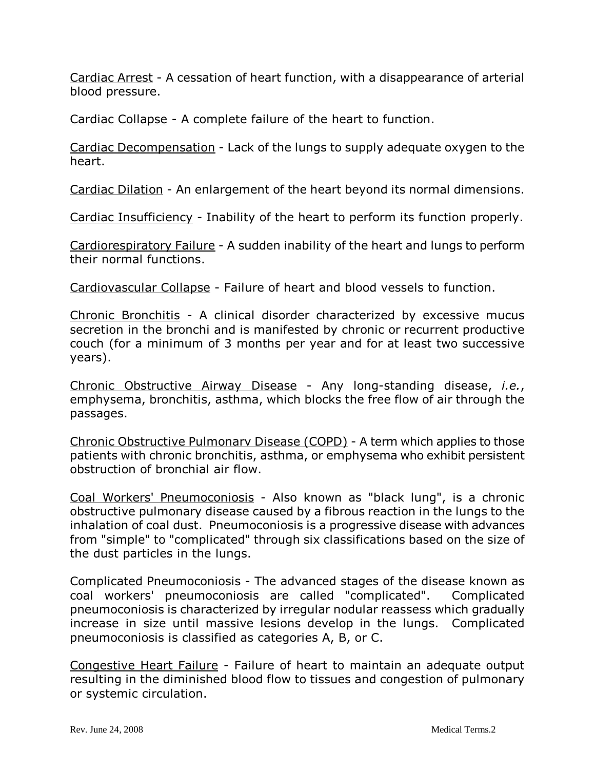Cardiac Arrest - A cessation of heart function, with a disappearance of arterial blood pressure.

Cardiac Collapse - A complete failure of the heart to function.

Cardiac Decompensation - Lack of the lungs to supply adequate oxygen to the heart.

Cardiac Dilation - An enlargement of the heart beyond its normal dimensions.

Cardiac Insufficiency - Inability of the heart to perform its function properly.

Cardiorespiratory Failure - A sudden inability of the heart and lungs to perform their normal functions.

Cardiovascular Collapse - Failure of heart and blood vessels to function.

Chronic Bronchitis - A clinical disorder characterized by excessive mucus secretion in the bronchi and is manifested by chronic or recurrent productive couch (for a minimum of 3 months per year and for at least two successive years).

Chronic Obstructive Airway Disease - Any long-standing disease, *i.e.*, emphysema, bronchitis, asthma, which blocks the free flow of air through the passages.

Chronic Obstructive Pulmonarv Disease (COPD) - A term which applies to those patients with chronic bronchitis, asthma, or emphysema who exhibit persistent obstruction of bronchial air flow.

Coal Workers' Pneumoconiosis - Also known as "black lung", is a chronic obstructive pulmonary disease caused by a fibrous reaction in the lungs to the inhalation of coal dust. Pneumoconiosis is a progressive disease with advances from "simple" to "complicated" through six classifications based on the size of the dust particles in the lungs.

Complicated Pneumoconiosis - The advanced stages of the disease known as coal workers' pneumoconiosis are called "complicated". Complicated pneumoconiosis is characterized by irregular nodular reassess which gradually increase in size until massive lesions develop in the lungs. Complicated pneumoconiosis is classified as categories A, B, or C.

Congestive Heart Failure - Failure of heart to maintain an adequate output resulting in the diminished blood flow to tissues and congestion of pulmonary or systemic circulation.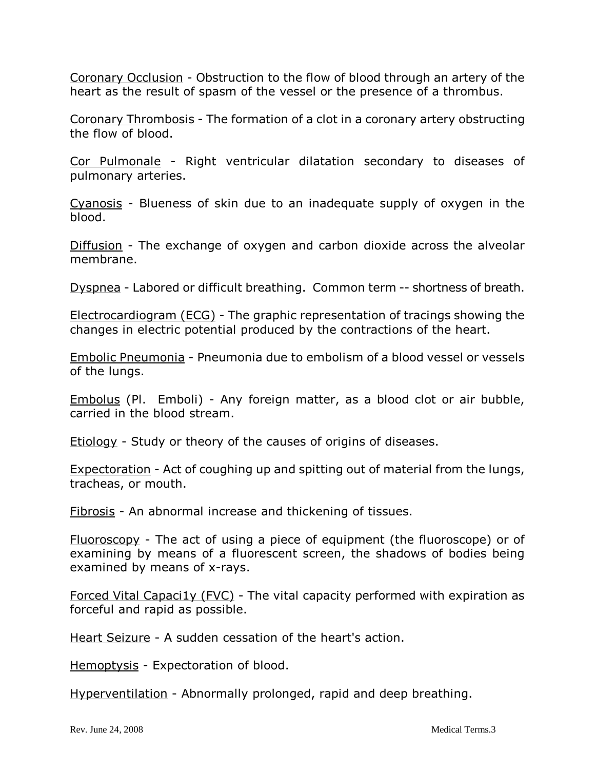Coronary Occlusion - Obstruction to the flow of blood through an artery of the heart as the result of spasm of the vessel or the presence of a thrombus.

Coronary Thrombosis - The formation of a clot in a coronary artery obstructing the flow of blood.

Cor Pulmonale - Right ventricular dilatation secondary to diseases of pulmonary arteries.

Cyanosis - Blueness of skin due to an inadequate supply of oxygen in the blood.

Diffusion - The exchange of oxygen and carbon dioxide across the alveolar membrane.

Dyspnea - Labored or difficult breathing. Common term -- shortness of breath.

Electrocardiogram (ECG) - The graphic representation of tracings showing the changes in electric potential produced by the contractions of the heart.

Embolic Pneumonia - Pneumonia due to embolism of a blood vessel or vessels of the lungs.

Embolus (Pl. Emboli) - Any foreign matter, as a blood clot or air bubble, carried in the blood stream.

Etiology - Study or theory of the causes of origins of diseases.

Expectoration - Act of coughing up and spitting out of material from the lungs, tracheas, or mouth.

Fibrosis - An abnormal increase and thickening of tissues.

Fluoroscopy - The act of using a piece of equipment (the fluoroscope) or of examining by means of a fluorescent screen, the shadows of bodies being examined by means of x-rays.

Forced Vital Capaci1y (FVC) - The vital capacity performed with expiration as forceful and rapid as possible.

Heart Seizure - A sudden cessation of the heart's action.

Hemoptysis - Expectoration of blood.

Hyperventilation - Abnormally prolonged, rapid and deep breathing.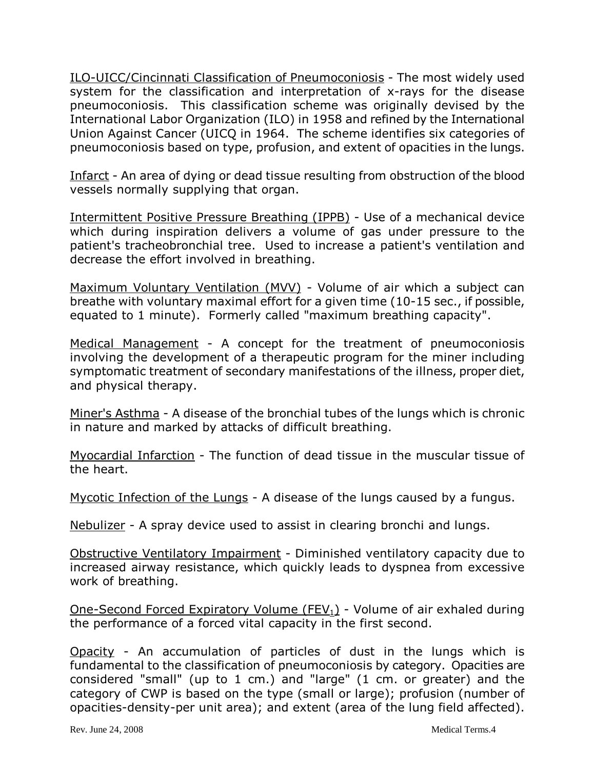ILO-UICC/Cincinnati Classification of Pneumoconiosis - The most widely used system for the classification and interpretation of x-rays for the disease pneumoconiosis. This classification scheme was originally devised by the International Labor Organization (ILO) in 1958 and refined by the International Union Against Cancer (UICQ in 1964. The scheme identifies six categories of pneumoconiosis based on type, profusion, and extent of opacities in the lungs.

Infarct - An area of dying or dead tissue resulting from obstruction of the blood vessels normally supplying that organ.

Intermittent Positive Pressure Breathing (IPPB) - Use of a mechanical device which during inspiration delivers a volume of gas under pressure to the patient's tracheobronchial tree. Used to increase a patient's ventilation and decrease the effort involved in breathing.

Maximum Voluntary Ventilation (MVV) - Volume of air which a subject can breathe with voluntary maximal effort for a given time (10-15 sec., if possible, equated to 1 minute). Formerly called "maximum breathing capacity".

Medical Management - A concept for the treatment of pneumoconiosis involving the development of a therapeutic program for the miner including symptomatic treatment of secondary manifestations of the illness, proper diet, and physical therapy.

Miner's Asthma - A disease of the bronchial tubes of the lungs which is chronic in nature and marked by attacks of difficult breathing.

Myocardial Infarction - The function of dead tissue in the muscular tissue of the heart.

Mycotic Infection of the Lungs - A disease of the lungs caused by a fungus.

Nebulizer - A spray device used to assist in clearing bronchi and lungs.

Obstructive Ventilatory Impairment - Diminished ventilatory capacity due to increased airway resistance, which quickly leads to dyspnea from excessive work of breathing.

One-Second Forced Expiratory Volume ( $FEV<sub>1</sub>$ ) - Volume of air exhaled during the performance of a forced vital capacity in the first second.

Opacity - An accumulation of particles of dust in the lungs which is fundamental to the classification of pneumoconiosis by category. Opacities are considered "small" (up to 1 cm.) and "large" (1 cm. or greater) and the category of CWP is based on the type (small or large); profusion (number of opacities-density-per unit area); and extent (area of the lung field affected).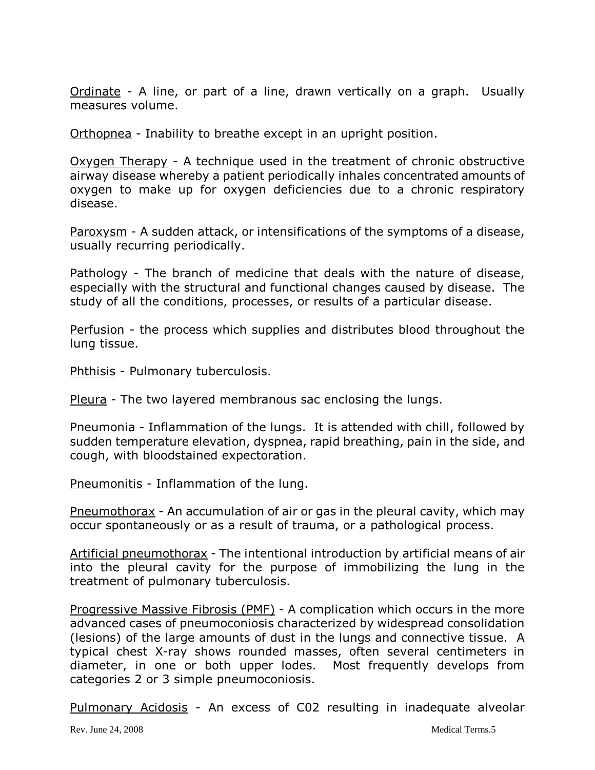Ordinate - A line, or part of a line, drawn vertically on a graph. Usually measures volume.

Orthopnea - Inability to breathe except in an upright position.

Oxygen Therapy - A technique used in the treatment of chronic obstructive airway disease whereby a patient periodically inhales concentrated amounts of oxygen to make up for oxygen deficiencies due to a chronic respiratory disease.

Paroxysm - A sudden attack, or intensifications of the symptoms of a disease, usually recurring periodically.

Pathology - The branch of medicine that deals with the nature of disease, especially with the structural and functional changes caused by disease. The study of all the conditions, processes, or results of a particular disease.

Perfusion - the process which supplies and distributes blood throughout the lung tissue.

Phthisis - Pulmonary tuberculosis.

Pleura - The two layered membranous sac enclosing the lungs.

Pneumonia - Inflammation of the lungs. It is attended with chill, followed by sudden temperature elevation, dyspnea, rapid breathing, pain in the side, and cough, with bloodstained expectoration.

Pneumonitis - Inflammation of the lung.

Pneumothorax - An accumulation of air or gas in the pleural cavity, which may occur spontaneously or as a result of trauma, or a pathological process.

Artificial pneumothorax - The intentional introduction by artificial means of air into the pleural cavity for the purpose of immobilizing the lung in the treatment of pulmonary tuberculosis.

Progressive Massive Fibrosis (PMF) - A complication which occurs in the more advanced cases of pneumoconiosis characterized by widespread consolidation (lesions) of the large amounts of dust in the lungs and connective tissue. A typical chest X-ray shows rounded masses, often several centimeters in diameter, in one or both upper lodes. Most frequently develops from categories 2 or 3 simple pneumoconiosis.

Pulmonary Acidosis - An excess of C02 resulting in inadequate alveolar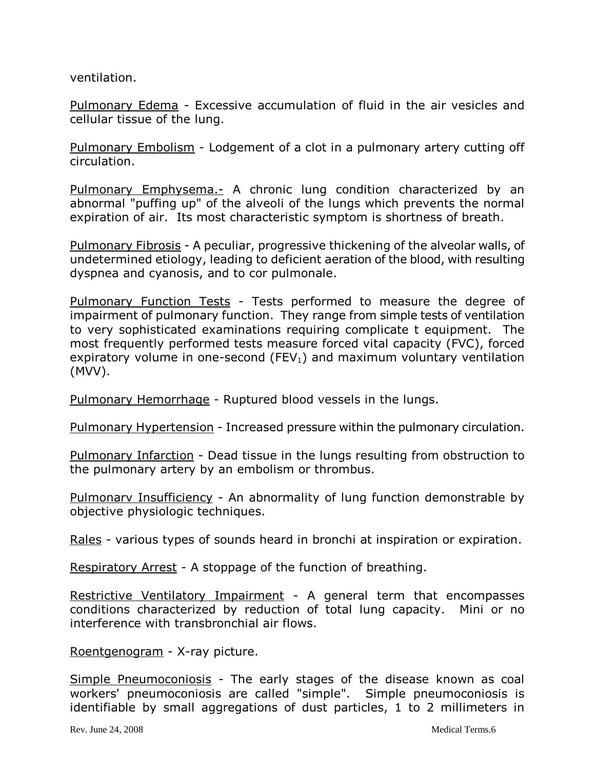ventilation.

Pulmonary Edema - Excessive accumulation of fluid in the air vesicles and cellular tissue of the lung.

Pulmonary Embolism - Lodgement of a clot in a pulmonary artery cutting off circulation.

Pulmonary Emphysema.- A chronic lung condition characterized by an abnormal "puffing up" of the alveoli of the lungs which prevents the normal expiration of air. Its most characteristic symptom is shortness of breath.

Pulmonary Fibrosis - A peculiar, progressive thickening of the alveolar walls, of undetermined etiology, leading to deficient aeration of the blood, with resulting dyspnea and cyanosis, and to cor pulmonale.

Pulmonary Function Tests - Tests performed to measure the degree of impairment of pulmonary function. They range from simple tests of ventilation to very sophisticated examinations requiring complicate t equipment. The most frequently performed tests measure forced vital capacity (FVC), forced expiratory volume in one-second (FEV<sub>1</sub>) and maximum voluntary ventilation (MVV).

Pulmonary Hemorrhage - Ruptured blood vessels in the lungs.

Pulmonary Hypertension - Increased pressure within the pulmonary circulation.

Pulmonary Infarction - Dead tissue in the lungs resulting from obstruction to the pulmonary artery by an embolism or thrombus.

Pulmonarv Insufficiency - An abnormality of lung function demonstrable by objective physiologic techniques.

Rales - various types of sounds heard in bronchi at inspiration or expiration.

Respiratory Arrest - A stoppage of the function of breathing.

Restrictive Ventilatory Impairment - A general term that encompasses conditions characterized by reduction of total lung capacity. Mini or no interference with transbronchial air flows.

Roentgenogram - X-ray picture.

Simple Pneumoconiosis - The early stages of the disease known as coal workers' pneumoconiosis are called "simple". Simple pneumoconiosis is identifiable by small aggregations of dust particles, 1 to 2 millimeters in